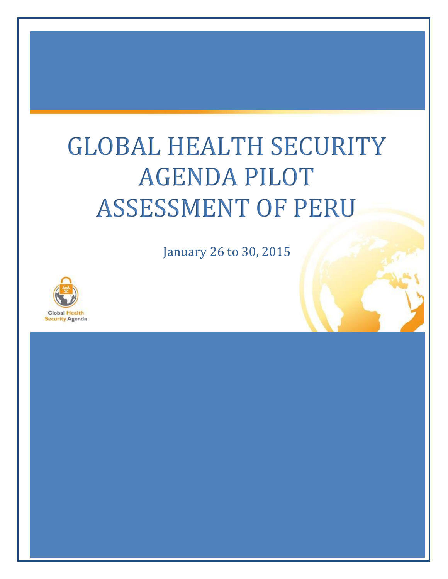# GLOBAL HEALTH SECURITY AGENDA PILOT ASSESSMENT OF PERU

January 26 to 30, 2015

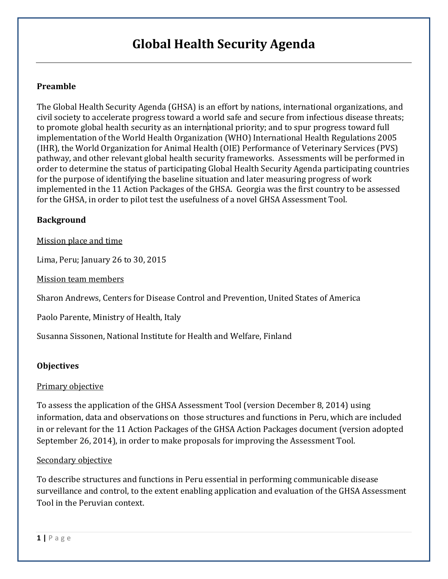### **Global Health Security Agenda**

#### **Preamble**

The Global Health Security Agenda (GHSA) is an effort by nations, international organizations, and civil society to accelerate progress toward a world safe and secure from infectious disease threats; to promote global health security as an international priority; and to spur progress toward full implementation of the World Health Organization (WHO) International Health Regulations 2005 (IHR), the World Organization for Animal Health (OIE) Performance of Veterinary Services (PVS) pathway, and other relevant global health security frameworks. Assessments will be performed in order to determine the status of participating Global Health Security Agenda participating countries for the purpose of identifying the baseline situation and later measuring progress of work implemented in the 11 Action Packages of the GHSA. Georgia was the first country to be assessed for the GHSA, in order to pilot test the usefulness of a novel GHSA Assessment Tool.

#### **Background**

Mission place and time

Lima, Peru; January 26 to 30, 2015

Mission team members

Sharon Andrews, Centers for Disease Control and Prevention, United States of America

Paolo Parente, Ministry of Health, Italy

Susanna Sissonen, National Institute for Health and Welfare, Finland

#### **Objectives**

#### Primary objective

To assess the application of the GHSA Assessment Tool (version December 8, 2014) using information, data and observations on those structures and functions in Peru, which are included in or relevant for the 11 Action Packages of the GHSA Action Packages document (version adopted September 26, 2014), in order to make proposals for improving the Assessment Tool.

#### Secondary objective

To describe structures and functions in Peru essential in performing communicable disease surveillance and control, to the extent enabling application and evaluation of the GHSA Assessment Tool in the Peruvian context.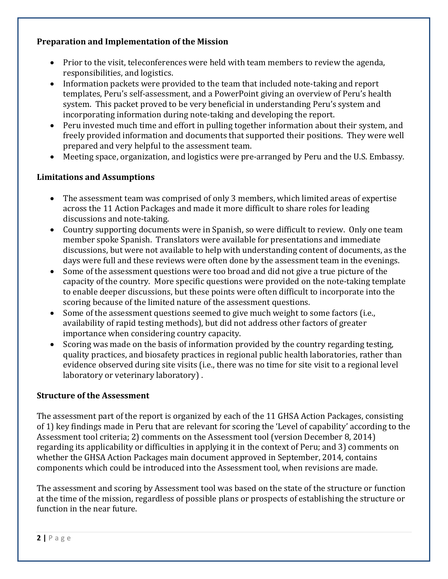#### **Preparation and Implementation of the Mission**

- Prior to the visit, teleconferences were held with team members to review the agenda, responsibilities, and logistics.
- Information packets were provided to the team that included note-taking and report templates, Peru's self-assessment, and a PowerPoint giving an overview of Peru's health system. This packet proved to be very beneficial in understanding Peru's system and incorporating information during note-taking and developing the report.
- Peru invested much time and effort in pulling together information about their system, and freely provided information and documents that supported their positions. They were well prepared and very helpful to the assessment team.
- Meeting space, organization, and logistics were pre-arranged by Peru and the U.S. Embassy.

#### **Limitations and Assumptions**

- The assessment team was comprised of only 3 members, which limited areas of expertise across the 11 Action Packages and made it more difficult to share roles for leading discussions and note-taking.
- Country supporting documents were in Spanish, so were difficult to review. Only one team member spoke Spanish. Translators were available for presentations and immediate discussions, but were not available to help with understanding content of documents, as the days were full and these reviews were often done by the assessment team in the evenings.
- Some of the assessment questions were too broad and did not give a true picture of the capacity of the country. More specific questions were provided on the note-taking template to enable deeper discussions, but these points were often difficult to incorporate into the scoring because of the limited nature of the assessment questions.
- Some of the assessment questions seemed to give much weight to some factors (i.e., availability of rapid testing methods), but did not address other factors of greater importance when considering country capacity.
- Scoring was made on the basis of information provided by the country regarding testing, quality practices, and biosafety practices in regional public health laboratories, rather than evidence observed during site visits (i.e., there was no time for site visit to a regional level laboratory or veterinary laboratory) .

#### **Structure of the Assessment**

The assessment part of the report is organized by each of the 11 GHSA Action Packages, consisting of 1) key findings made in Peru that are relevant for scoring the 'Level of capability' according to the Assessment tool criteria; 2) comments on the Assessment tool (version December 8, 2014) regarding its applicability or difficulties in applying it in the context of Peru; and 3) comments on whether the GHSA Action Packages main document approved in September, 2014, contains components which could be introduced into the Assessment tool, when revisions are made.

The assessment and scoring by Assessment tool was based on the state of the structure or function at the time of the mission, regardless of possible plans or prospects of establishing the structure or function in the near future.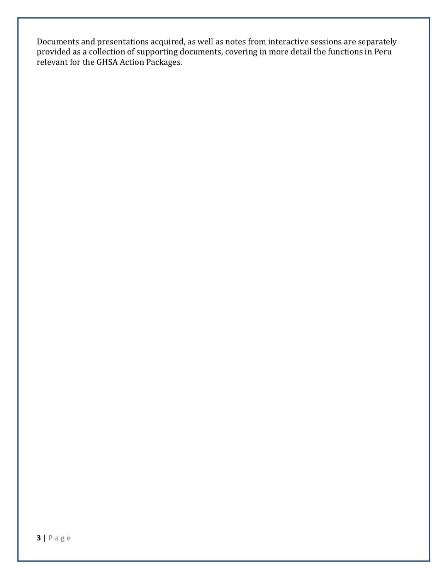Documents and presentations acquired, as well as notes from interactive sessions are separately provided as a collection of supporting documents, covering in more detail the functions in Peru relevant for the GHSA Action Packages.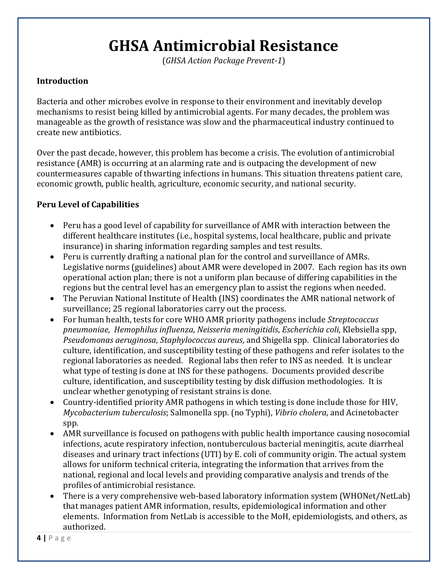# **GHSA Antimicrobial Resistance**

(*GHSA Action Package Prevent-1*)

#### **Introduction**

Bacteria and other microbes evolve in response to their environment and inevitably develop mechanisms to resist being killed by antimicrobial agents. For many decades, the problem was manageable as the growth of resistance was slow and the pharmaceutical industry continued to create new antibiotics.

Over the past decade, however, this problem has become a crisis. The evolution of antimicrobial resistance (AMR) is occurring at an alarming rate and is outpacing the development of new countermeasures capable of thwarting infections in humans. This situation threatens patient care, economic growth, public health, agriculture, economic security, and national security.

- Peru has a good level of capability for surveillance of AMR with interaction between the different healthcare institutes (i.e., hospital systems, local healthcare, public and private insurance) in sharing information regarding samples and test results.
- Peru is currently drafting a national plan for the control and surveillance of AMRs. Legislative norms (guidelines) about AMR were developed in 2007. Each region has its own operational action plan; there is not a uniform plan because of differing capabilities in the regions but the central level has an emergency plan to assist the regions when needed.
- The Peruvian National Institute of Health (INS) coordinates the AMR national network of surveillance; 25 regional laboratories carry out the process.
- For human health, tests for core WHO AMR priority pathogens include *Streptococcus pneumoniae*, *Hemophilus influenza*, *Neisseria meningitidis*, *Escherichia coli*, Klebsiella spp, *Pseudomonas aeruginosa*, *Staphylococcus aureus*, and Shigella spp. Clinical laboratories do culture, identification, and susceptibility testing of these pathogens and refer isolates to the regional laboratories as needed. Regional labs then refer to INS as needed. It is unclear what type of testing is done at INS for these pathogens. Documents provided describe culture, identification, and susceptibility testing by disk diffusion methodologies. It is unclear whether genotyping of resistant strains is done.
- Country-identified priority AMR pathogens in which testing is done include those for HIV, *Mycobacterium tuberculosis*; Salmonella spp. (no Typhi), *Vibrio cholera*, and Acinetobacter spp.
- AMR surveillance is focused on pathogens with public health importance causing nosocomial infections, acute respiratory infection, nontuberculous bacterial meningitis, acute diarrheal diseases and urinary tract infections (UTI) by E. coli of community origin. The actual system allows for uniform technical criteria, integrating the information that arrives from the national, regional and local levels and providing comparative analysis and trends of the profiles of antimicrobial resistance.
- There is a very comprehensive web-based laboratory information system (WHONet/NetLab) that manages patient AMR information, results, epidemiological information and other elements. Information from NetLab is accessible to the MoH, epidemiologists, and others, as authorized.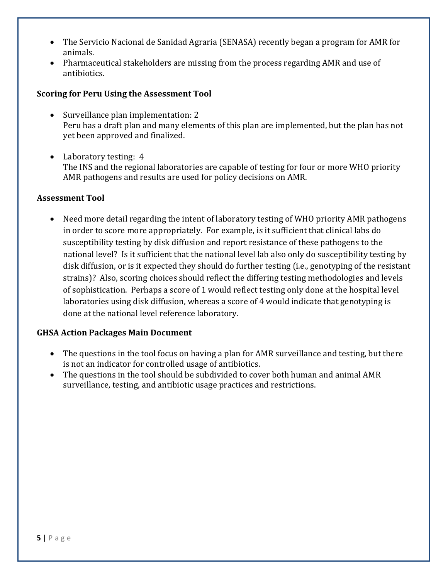- The Servicio Nacional de Sanidad Agraria (SENASA) recently began a program for AMR for animals.
- Pharmaceutical stakeholders are missing from the process regarding AMR and use of antibiotics.

#### **Scoring for Peru Using the Assessment Tool**

- Surveillance plan implementation: 2 Peru has a draft plan and many elements of this plan are implemented, but the plan has not yet been approved and finalized.
- Laboratory testing: 4 The INS and the regional laboratories are capable of testing for four or more WHO priority AMR pathogens and results are used for policy decisions on AMR.

#### **Assessment Tool**

• Need more detail regarding the intent of laboratory testing of WHO priority AMR pathogens in order to score more appropriately. For example, is it sufficient that clinical labs do susceptibility testing by disk diffusion and report resistance of these pathogens to the national level? Is it sufficient that the national level lab also only do susceptibility testing by disk diffusion, or is it expected they should do further testing (i.e., genotyping of the resistant strains)? Also, scoring choices should reflect the differing testing methodologies and levels of sophistication. Perhaps a score of 1 would reflect testing only done at the hospital level laboratories using disk diffusion, whereas a score of 4 would indicate that genotyping is done at the national level reference laboratory.

#### **GHSA Action Packages Main Document**

- The questions in the tool focus on having a plan for AMR surveillance and testing, but there is not an indicator for controlled usage of antibiotics.
- The questions in the tool should be subdivided to cover both human and animal AMR surveillance, testing, and antibiotic usage practices and restrictions.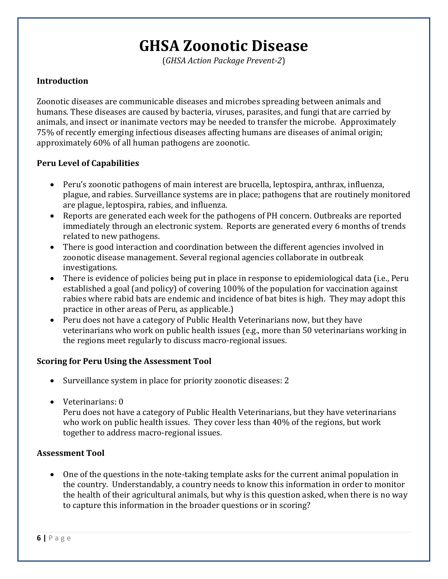### **GHSA Zoonotic Disease**

(*GHSA Action Package Prevent-2*)

#### **Introduction**

Zoonotic diseases are communicable diseases and microbes spreading between animals and humans. These diseases are caused by bacteria, viruses, parasites, and fungi that are carried by animals, and insect or inanimate vectors may be needed to transfer the microbe. Approximately 75% of recently emerging infectious diseases affecting humans are diseases of animal origin; approximately 60% of all human pathogens are zoonotic.

#### **Peru Level of Capabilities**

- Peru's zoonotic pathogens of main interest are brucella, leptospira, anthrax, influenza, plague, and rabies. Surveillance systems are in place; pathogens that are routinely monitored are plague, leptospira, rabies, and influenza.
- Reports are generated each week for the pathogens of PH concern. Outbreaks are reported immediately through an electronic system. Reports are generated every 6 months of trends related to new pathogens.
- There is good interaction and coordination between the different agencies involved in zoonotic disease management. Several regional agencies collaborate in outbreak investigations.
- There is evidence of policies being put in place in response to epidemiological data (i.e., Peru established a goal (and policy) of covering 100% of the population for vaccination against rabies where rabid bats are endemic and incidence of bat bites is high. They may adopt this practice in other areas of Peru, as applicable.)
- Peru does not have a category of Public Health Veterinarians now, but they have veterinarians who work on public health issues (e.g., more than 50 veterinarians working in the regions meet regularly to discuss macro-regional issues.

#### **Scoring for Peru Using the Assessment Tool**

- Surveillance system in place for priority zoonotic diseases: 2
- Veterinarians: 0

Peru does not have a category of Public Health Veterinarians, but they have veterinarians who work on public health issues. They cover less than 40% of the regions, but work together to address macro-regional issues.

#### **Assessment Tool**

 One of the questions in the note-taking template asks for the current animal population in the country. Understandably, a country needs to know this information in order to monitor the health of their agricultural animals, but why is this question asked, when there is no way to capture this information in the broader questions or in scoring?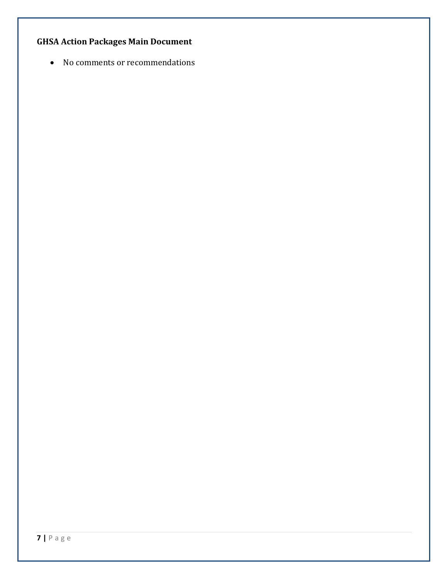#### **GHSA Action Packages Main Document**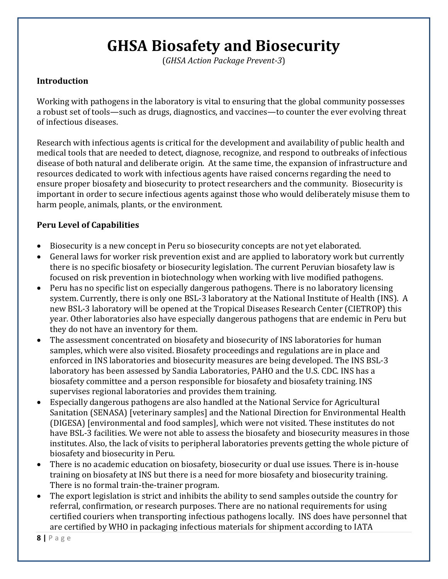# **GHSA Biosafety and Biosecurity**

(*GHSA Action Package Prevent-3*)

#### **Introduction**

Working with pathogens in the laboratory is vital to ensuring that the global community possesses a robust set of tools—such as drugs, diagnostics, and vaccines—to counter the ever evolving threat of infectious diseases.

Research with infectious agents is critical for the development and availability of public health and medical tools that are needed to detect, diagnose, recognize, and respond to outbreaks of infectious disease of both natural and deliberate origin. At the same time, the expansion of infrastructure and resources dedicated to work with infectious agents have raised concerns regarding the need to ensure proper biosafety and biosecurity to protect researchers and the community. Biosecurity is important in order to secure infectious agents against those who would deliberately misuse them to harm people, animals, plants, or the environment.

- Biosecurity is a new concept in Peru so biosecurity concepts are not yet elaborated.
- General laws for worker risk prevention exist and are applied to laboratory work but currently there is no specific biosafety or biosecurity legislation. The current Peruvian biosafety law is focused on risk prevention in biotechnology when working with live modified pathogens.
- Peru has no specific list on especially dangerous pathogens. There is no laboratory licensing system. Currently, there is only one BSL-3 laboratory at the National Institute of Health (INS). A new BSL-3 laboratory will be opened at the Tropical Diseases Research Center (CIETROP) this year. Other laboratories also have especially dangerous pathogens that are endemic in Peru but they do not have an inventory for them.
- The assessment concentrated on biosafety and biosecurity of INS laboratories for human samples, which were also visited. Biosafety proceedings and regulations are in place and enforced in INS laboratories and biosecurity measures are being developed. The INS BSL-3 laboratory has been assessed by Sandia Laboratories, PAHO and the U.S. CDC. INS has a biosafety committee and a person responsible for biosafety and biosafety training. INS supervises regional laboratories and provides them training.
- Especially dangerous pathogens are also handled at the National Service for Agricultural Sanitation (SENASA) [veterinary samples] and the National Direction for Environmental Health (DIGESA) [environmental and food samples], which were not visited. These institutes do not have BSL-3 facilities. We were not able to assess the biosafety and biosecurity measures in those institutes. Also, the lack of visits to peripheral laboratories prevents getting the whole picture of biosafety and biosecurity in Peru.
- There is no academic education on biosafety, biosecurity or dual use issues. There is in-house training on biosafety at INS but there is a need for more biosafety and biosecurity training. There is no formal train-the-trainer program.
- The export legislation is strict and inhibits the ability to send samples outside the country for referral, confirmation, or research purposes. There are no national requirements for using certified couriers when transporting infectious pathogens locally. INS does have personnel that are certified by WHO in packaging infectious materials for shipment according to IATA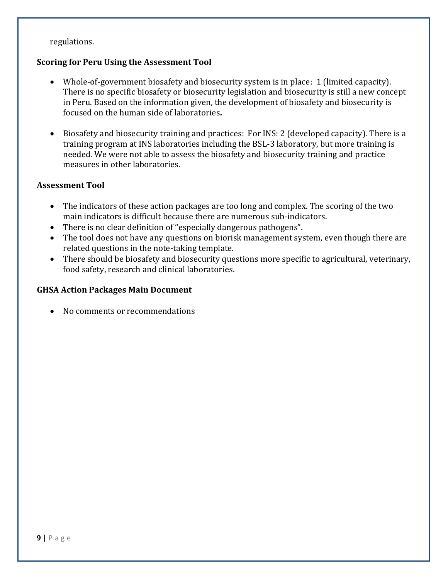regulations.

#### **Scoring for Peru Using the Assessment Tool**

- Whole-of-government biosafety and biosecurity system is in place: 1 (limited capacity). There is no specific biosafety or biosecurity legislation and biosecurity is still a new concept in Peru. Based on the information given, the development of biosafety and biosecurity is focused on the human side of laboratories**.**
- Biosafety and biosecurity training and practices: For INS: 2 (developed capacity). There is a training program at INS laboratories including the BSL-3 laboratory, but more training is needed. We were not able to assess the biosafety and biosecurity training and practice measures in other laboratories.

#### **Assessment Tool**

- The indicators of these action packages are too long and complex. The scoring of the two main indicators is difficult because there are numerous sub-indicators.
- There is no clear definition of "especially dangerous pathogens".
- The tool does not have any questions on biorisk management system, even though there are related questions in the note-taking template.
- There should be biosafety and biosecurity questions more specific to agricultural, veterinary, food safety, research and clinical laboratories.

#### **GHSA Action Packages Main Document**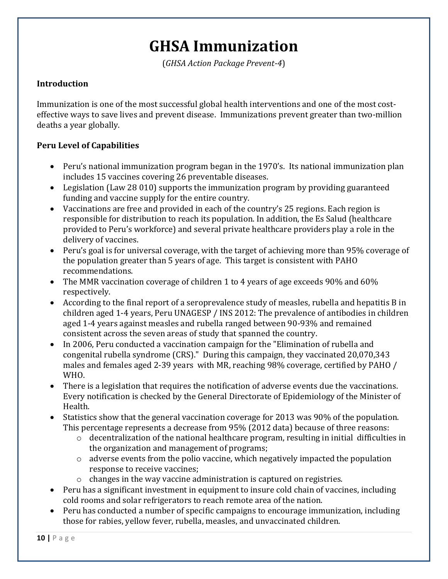### **GHSA Immunization**

(*GHSA Action Package Prevent-4*)

#### **Introduction**

Immunization is one of the most successful global health interventions and one of the most costeffective ways to save lives and prevent disease. Immunizations prevent greater than two-million deaths a year globally.

- Peru's national immunization program began in the 1970's. Its national immunization plan includes 15 vaccines covering 26 preventable diseases.
- Legislation (Law 28 010) supports the immunization program by providing guaranteed funding and vaccine supply for the entire country.
- Vaccinations are free and provided in each of the country's 25 regions. Each region is responsible for distribution to reach its population. In addition, the Es Salud (healthcare provided to Peru's workforce) and several private healthcare providers play a role in the delivery of vaccines.
- Peru's goal is for universal coverage, with the target of achieving more than 95% coverage of the population greater than 5 years of age. This target is consistent with PAHO recommendations.
- The MMR vaccination coverage of children 1 to 4 years of age exceeds 90% and 60% respectively.
- According to the final report of a seroprevalence study of measles, rubella and hepatitis B in children aged 1-4 years, Peru UNAGESP / INS 2012: The prevalence of antibodies in children aged 1-4 years against measles and rubella ranged between 90-93% and remained consistent across the seven areas of study that spanned the country.
- In 2006, Peru conducted a vaccination campaign for the "Elimination of rubella and congenital rubella syndrome (CRS)." During this campaign, they vaccinated 20,070,343 males and females aged 2-39 years with MR, reaching 98% coverage, certified by PAHO / WHO.
- There is a legislation that requires the notification of adverse events due the vaccinations. Every notification is checked by the General Directorate of Epidemiology of the Minister of Health.
- Statistics show that the general vaccination coverage for 2013 was 90% of the population. This percentage represents a decrease from 95% (2012 data) because of three reasons:
	- $\circ$  decentralization of the national healthcare program, resulting in initial difficulties in the organization and management of programs;
	- o adverse events from the polio vaccine, which negatively impacted the population response to receive vaccines;
	- o changes in the way vaccine administration is captured on registries.
- Peru has a significant investment in equipment to insure cold chain of vaccines, including cold rooms and solar refrigerators to reach remote area of the nation.
- Peru has conducted a number of specific campaigns to encourage immunization, including those for rabies, yellow fever, rubella, measles, and unvaccinated children.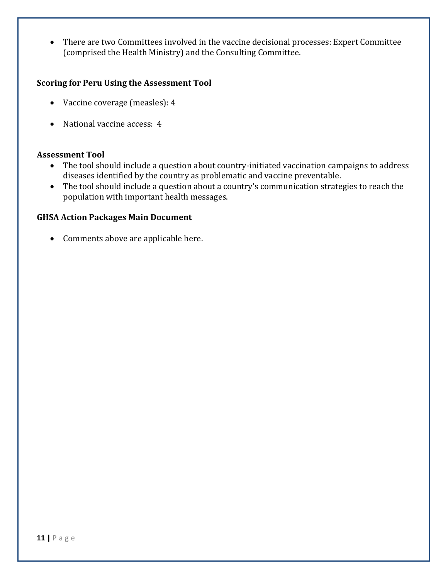There are two Committees involved in the vaccine decisional processes: Expert Committee (comprised the Health Ministry) and the Consulting Committee.

#### **Scoring for Peru Using the Assessment Tool**

- Vaccine coverage (measles): 4
- National vaccine access: 4

#### **Assessment Tool**

- The tool should include a question about country-initiated vaccination campaigns to address diseases identified by the country as problematic and vaccine preventable.
- The tool should include a question about a country's communication strategies to reach the population with important health messages.

#### **GHSA Action Packages Main Document**

• Comments above are applicable here.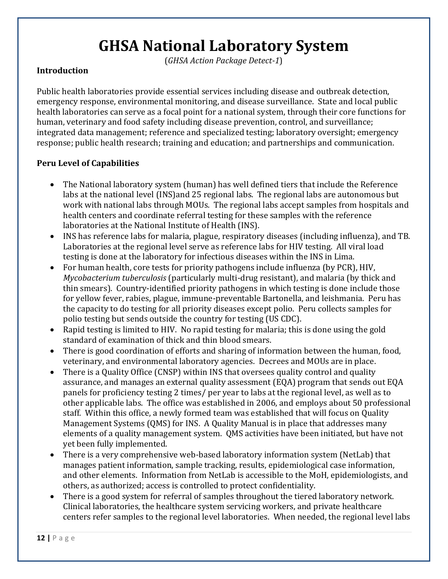# **GHSA National Laboratory System**

(*GHSA Action Package Detect-1*)

#### **Introduction**

Public health laboratories provide essential services including disease and outbreak detection, emergency response, environmental monitoring, and disease surveillance. State and local public health laboratories can serve as a focal point for a national system, through their core functions for human, veterinary and food safety including disease prevention, control, and surveillance; integrated data management; reference and specialized testing; laboratory oversight; emergency response; public health research; training and education; and partnerships and communication.

- The National laboratory system (human) has well defined tiers that include the Reference labs at the national level (INS)and 25 regional labs. The regional labs are autonomous but work with national labs through MOUs. The regional labs accept samples from hospitals and health centers and coordinate referral testing for these samples with the reference laboratories at the National Institute of Health (INS).
- INS has reference labs for malaria, plague, respiratory diseases (including influenza), and TB. Laboratories at the regional level serve as reference labs for HIV testing. All viral load testing is done at the laboratory for infectious diseases within the INS in Lima.
- For human health, core tests for priority pathogens include influenza (by PCR), HIV, *Mycobacterium tuberculosis* (particularly multi-drug resistant), and malaria (by thick and thin smears). Country-identified priority pathogens in which testing is done include those for yellow fever, rabies, plague, immune-preventable Bartonella, and leishmania. Peru has the capacity to do testing for all priority diseases except polio. Peru collects samples for polio testing but sends outside the country for testing (US CDC).
- Rapid testing is limited to HIV. No rapid testing for malaria; this is done using the gold standard of examination of thick and thin blood smears.
- There is good coordination of efforts and sharing of information between the human, food, veterinary, and environmental laboratory agencies. Decrees and MOUs are in place.
- There is a Quality Office (CNSP) within INS that oversees quality control and quality assurance, and manages an external quality assessment (EQA) program that sends out EQA panels for proficiency testing 2 times/ per year to labs at the regional level, as well as to other applicable labs. The office was established in 2006, and employs about 50 professional staff. Within this office, a newly formed team was established that will focus on Quality Management Systems (QMS) for INS. A Quality Manual is in place that addresses many elements of a quality management system. QMS activities have been initiated, but have not yet been fully implemented.
- There is a very comprehensive web-based laboratory information system (NetLab) that manages patient information, sample tracking, results, epidemiological case information, and other elements. Information from NetLab is accessible to the MoH, epidemiologists, and others, as authorized; access is controlled to protect confidentiality.
- There is a good system for referral of samples throughout the tiered laboratory network. Clinical laboratories, the healthcare system servicing workers, and private healthcare centers refer samples to the regional level laboratories. When needed, the regional level labs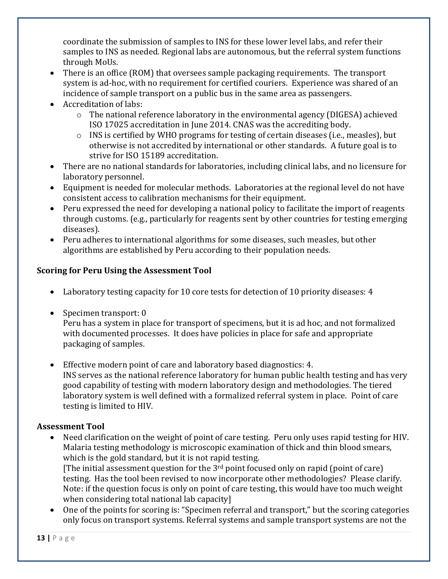coordinate the submission of samples to INS for these lower level labs, and refer their samples to INS as needed. Regional labs are autonomous, but the referral system functions through MoUs.

- There is an office (ROM) that oversees sample packaging requirements. The transport system is ad-hoc, with no requirement for certified couriers. Experience was shared of an incidence of sample transport on a public bus in the same area as passengers.
- Accreditation of labs:
	- $\circ$  The national reference laboratory in the environmental agency (DIGESA) achieved ISO 17025 accreditation in June 2014. CNAS was the accrediting body.
	- o INS is certified by WHO programs for testing of certain diseases (i.e., measles), but otherwise is not accredited by international or other standards. A future goal is to strive for ISO 15189 accreditation.
- There are no national standards for laboratories, including clinical labs, and no licensure for laboratory personnel.
- Equipment is needed for molecular methods. Laboratories at the regional level do not have consistent access to calibration mechanisms for their equipment.
- Peru expressed the need for developing a national policy to facilitate the import of reagents through customs. (e.g., particularly for reagents sent by other countries for testing emerging diseases).
- Peru adheres to international algorithms for some diseases, such measles, but other algorithms are established by Peru according to their population needs.

#### **Scoring for Peru Using the Assessment Tool**

- Laboratory testing capacity for 10 core tests for detection of 10 priority diseases: 4
- Specimen transport: 0

Peru has a system in place for transport of specimens, but it is ad hoc, and not formalized with documented processes. It does have policies in place for safe and appropriate packaging of samples.

 Effective modern point of care and laboratory based diagnostics: 4. INS serves as the national reference laboratory for human public health testing and has very good capability of testing with modern laboratory design and methodologies. The tiered laboratory system is well defined with a formalized referral system in place. Point of care testing is limited to HIV.

#### **Assessment Tool**

- Need clarification on the weight of point of care testing. Peru only uses rapid testing for HIV. Malaria testing methodology is microscopic examination of thick and thin blood smears, which is the gold standard, but it is not rapid testing. [The initial assessment question for the  $3<sup>rd</sup>$  point focused only on rapid (point of care) testing. Has the tool been revised to now incorporate other methodologies? Please clarify. Note: if the question focus is only on point of care testing, this would have too much weight when considering total national lab capacity]
- One of the points for scoring is: "Specimen referral and transport," but the scoring categories only focus on transport systems. Referral systems and sample transport systems are not the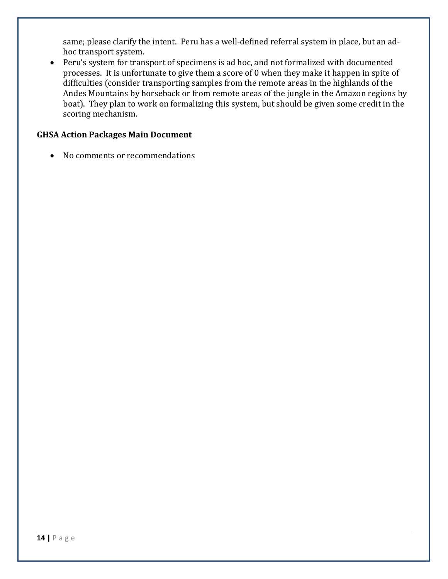same; please clarify the intent. Peru has a well-defined referral system in place, but an adhoc transport system.

 Peru's system for transport of specimens is ad hoc, and not formalized with documented processes. It is unfortunate to give them a score of 0 when they make it happen in spite of difficulties (consider transporting samples from the remote areas in the highlands of the Andes Mountains by horseback or from remote areas of the jungle in the Amazon regions by boat). They plan to work on formalizing this system, but should be given some credit in the scoring mechanism.

#### **GHSA Action Packages Main Document**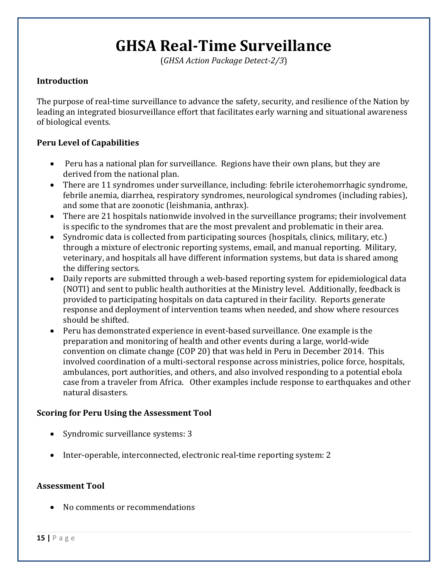# **GHSA Real-Time Surveillance**

(*GHSA Action Package Detect-2/3*)

#### **Introduction**

The purpose of real-time surveillance to advance the safety, security, and resilience of the Nation by leading an integrated biosurveillance effort that facilitates early warning and situational awareness of biological events.

#### **Peru Level of Capabilities**

- Peru has a national plan for surveillance. Regions have their own plans, but they are derived from the national plan.
- There are 11 syndromes under surveillance, including: febrile icterohemorrhagic syndrome, febrile anemia, diarrhea, respiratory syndromes, neurological syndromes (including rabies), and some that are zoonotic (leishmania, anthrax).
- There are 21 hospitals nationwide involved in the surveillance programs; their involvement is specific to the syndromes that are the most prevalent and problematic in their area.
- Syndromic data is collected from participating sources (hospitals, clinics, military, etc.) through a mixture of electronic reporting systems, email, and manual reporting. Military, veterinary, and hospitals all have different information systems, but data is shared among the differing sectors.
- Daily reports are submitted through a web-based reporting system for epidemiological data (NOTI) and sent to public health authorities at the Ministry level. Additionally, feedback is provided to participating hospitals on data captured in their facility. Reports generate response and deployment of intervention teams when needed, and show where resources should be shifted.
- Peru has demonstrated experience in event-based surveillance. One example is the preparation and monitoring of health and other events during a large, world-wide convention on climate change (COP 20) that was held in Peru in December 2014. This involved coordination of a multi-sectoral response across ministries, police force, hospitals, ambulances, port authorities, and others, and also involved responding to a potential ebola case from a traveler from Africa. Other examples include response to earthquakes and other natural disasters.

#### **Scoring for Peru Using the Assessment Tool**

- Syndromic surveillance systems: 3
- Inter-operable, interconnected, electronic real-time reporting system: 2

#### **Assessment Tool**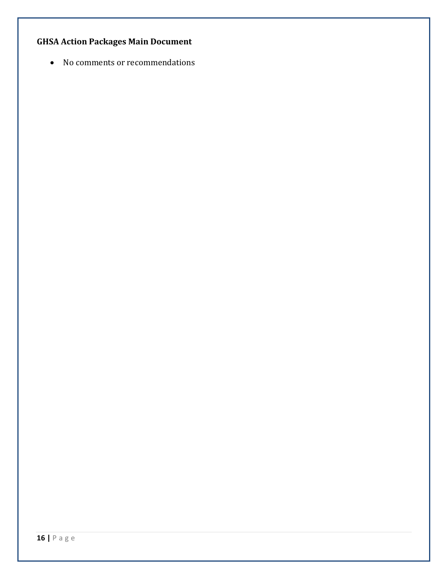#### **GHSA Action Packages Main Document**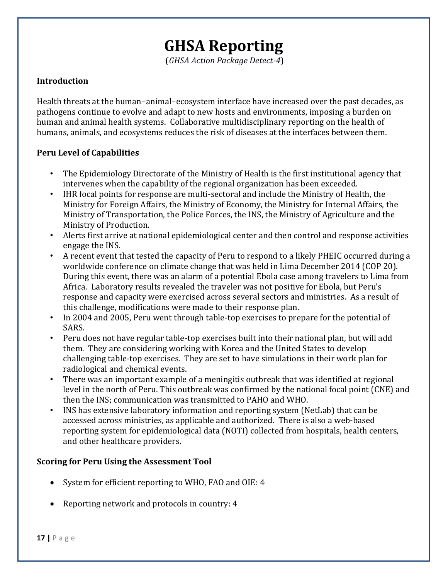### **GHSA Reporting**

(*GHSA Action Package Detect-4*)

#### **Introduction**

Health threats at the human–animal–ecosystem interface have increased over the past decades, as pathogens continue to evolve and adapt to new hosts and environments, imposing a burden on human and animal health systems. Collaborative multidisciplinary reporting on the health of humans, animals, and ecosystems reduces the risk of diseases at the interfaces between them.

#### **Peru Level of Capabilities**

- The Epidemiology Directorate of the Ministry of Health is the first institutional agency that intervenes when the capability of the regional organization has been exceeded.
- IHR focal points for response are multi-sectoral and include the Ministry of Health, the Ministry for Foreign Affairs, the Ministry of Economy, the Ministry for Internal Affairs, the Ministry of Transportation, the Police Forces, the INS, the Ministry of Agriculture and the Ministry of Production.
- Alerts first arrive at national epidemiological center and then control and response activities engage the INS.
- A recent event that tested the capacity of Peru to respond to a likely PHEIC occurred during a worldwide conference on climate change that was held in Lima December 2014 (COP 20). During this event, there was an alarm of a potential Ebola case among travelers to Lima from Africa. Laboratory results revealed the traveler was not positive for Ebola, but Peru's response and capacity were exercised across several sectors and ministries. As a result of this challenge, modifications were made to their response plan.
- In 2004 and 2005, Peru went through table-top exercises to prepare for the potential of SARS.
- Peru does not have regular table-top exercises built into their national plan, but will add them. They are considering working with Korea and the United States to develop challenging table-top exercises. They are set to have simulations in their work plan for radiological and chemical events.
- There was an important example of a meningitis outbreak that was identified at regional level in the north of Peru. This outbreak was confirmed by the national focal point (CNE) and then the INS; communication was transmitted to PAHO and WHO.
- INS has extensive laboratory information and reporting system (NetLab) that can be accessed across ministries, as applicable and authorized. There is also a web-based reporting system for epidemiological data (NOTI) collected from hospitals, health centers, and other healthcare providers.

#### **Scoring for Peru Using the Assessment Tool**

- System for efficient reporting to WHO, FAO and OIE: 4
- Reporting network and protocols in country: 4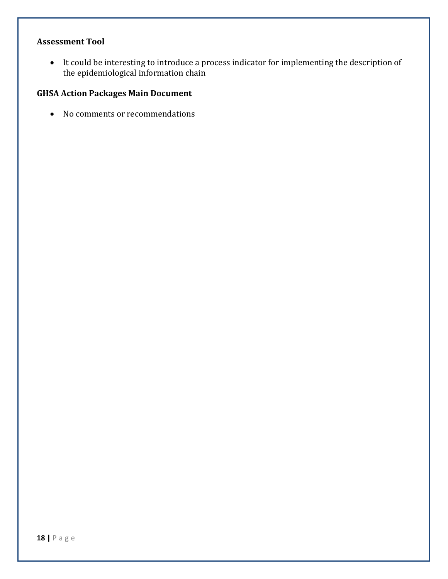#### **Assessment Tool**

 It could be interesting to introduce a process indicator for implementing the description of the epidemiological information chain

#### **GHSA Action Packages Main Document**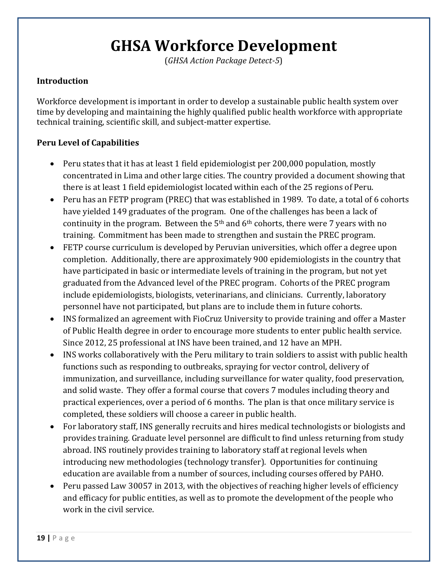# **GHSA Workforce Development**

(*GHSA Action Package Detect-5*)

#### **Introduction**

Workforce development is important in order to develop a sustainable public health system over time by developing and maintaining the highly qualified public health workforce with appropriate technical training, scientific skill, and subject-matter expertise.

- Peru states that it has at least 1 field epidemiologist per 200,000 population, mostly concentrated in Lima and other large cities. The country provided a document showing that there is at least 1 field epidemiologist located within each of the 25 regions of Peru.
- Peru has an FETP program (PREC) that was established in 1989. To date, a total of 6 cohorts have yielded 149 graduates of the program. One of the challenges has been a lack of continuity in the program. Between the  $5<sup>th</sup>$  and  $6<sup>th</sup>$  cohorts, there were 7 years with no training. Commitment has been made to strengthen and sustain the PREC program.
- FETP course curriculum is developed by Peruvian universities, which offer a degree upon completion. Additionally, there are approximately 900 epidemiologists in the country that have participated in basic or intermediate levels of training in the program, but not yet graduated from the Advanced level of the PREC program. Cohorts of the PREC program include epidemiologists, biologists, veterinarians, and clinicians. Currently, laboratory personnel have not participated, but plans are to include them in future cohorts.
- INS formalized an agreement with FioCruz University to provide training and offer a Master of Public Health degree in order to encourage more students to enter public health service. Since 2012, 25 professional at INS have been trained, and 12 have an MPH.
- INS works collaboratively with the Peru military to train soldiers to assist with public health functions such as responding to outbreaks, spraying for vector control, delivery of immunization, and surveillance, including surveillance for water quality, food preservation, and solid waste. They offer a formal course that covers 7 modules including theory and practical experiences, over a period of 6 months. The plan is that once military service is completed, these soldiers will choose a career in public health.
- For laboratory staff, INS generally recruits and hires medical technologists or biologists and provides training. Graduate level personnel are difficult to find unless returning from study abroad. INS routinely provides training to laboratory staff at regional levels when introducing new methodologies (technology transfer). Opportunities for continuing education are available from a number of sources, including courses offered by PAHO.
- Peru passed Law 30057 in 2013, with the objectives of reaching higher levels of efficiency and efficacy for public entities, as well as to promote the development of the people who work in the civil service.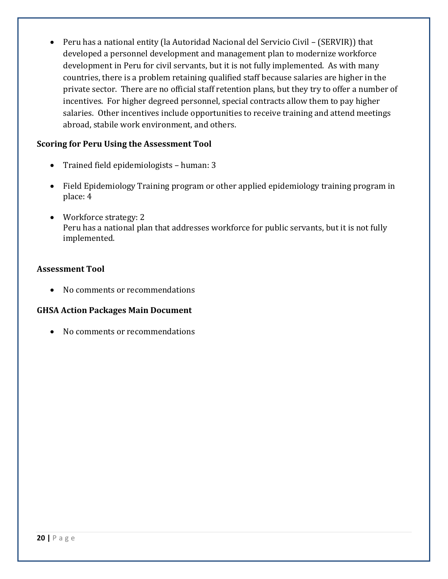Peru has a national entity (la Autoridad Nacional del Servicio Civil – (SERVIR)) that developed a personnel development and management plan to modernize workforce development in Peru for civil servants, but it is not fully implemented. As with many countries, there is a problem retaining qualified staff because salaries are higher in the private sector. There are no official staff retention plans, but they try to offer a number of incentives. For higher degreed personnel, special contracts allow them to pay higher salaries. Other incentives include opportunities to receive training and attend meetings abroad, stabile work environment, and others.

#### **Scoring for Peru Using the Assessment Tool**

- Trained field epidemiologists human: 3
- Field Epidemiology Training program or other applied epidemiology training program in place: 4
- Workforce strategy: 2 Peru has a national plan that addresses workforce for public servants, but it is not fully implemented.

#### **Assessment Tool**

• No comments or recommendations

#### **GHSA Action Packages Main Document**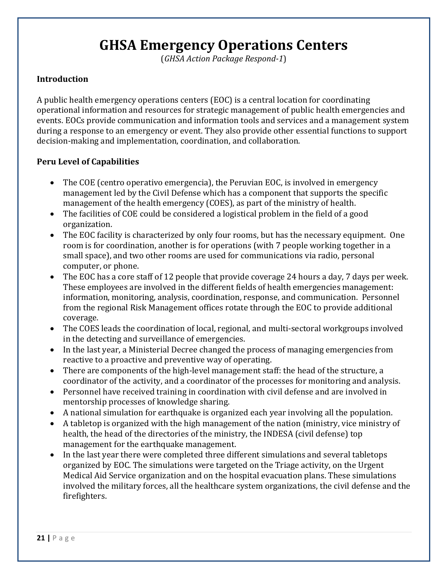### **GHSA Emergency Operations Centers**

(*GHSA Action Package Respond-1*)

#### **Introduction**

A public health emergency operations centers (EOC) is a central location for coordinating operational information and resources for strategic management of public health emergencies and events. EOCs provide communication and information tools and services and a management system during a response to an emergency or event. They also provide other essential functions to support decision-making and implementation, coordination, and collaboration.

- The COE (centro operativo emergencia), the Peruvian EOC, is involved in emergency management led by the Civil Defense which has a component that supports the specific management of the health emergency (COES), as part of the ministry of health.
- The facilities of COE could be considered a logistical problem in the field of a good organization.
- The EOC facility is characterized by only four rooms, but has the necessary equipment. One room is for coordination, another is for operations (with 7 people working together in a small space), and two other rooms are used for communications via radio, personal computer, or phone.
- The EOC has a core staff of 12 people that provide coverage 24 hours a day, 7 days per week. These employees are involved in the different fields of health emergencies management: information, monitoring, analysis, coordination, response, and communication. Personnel from the regional Risk Management offices rotate through the EOC to provide additional coverage.
- The COES leads the coordination of local, regional, and multi-sectoral workgroups involved in the detecting and surveillance of emergencies.
- In the last year, a Ministerial Decree changed the process of managing emergencies from reactive to a proactive and preventive way of operating.
- There are components of the high-level management staff: the head of the structure, a coordinator of the activity, and a coordinator of the processes for monitoring and analysis.
- Personnel have received training in coordination with civil defense and are involved in mentorship processes of knowledge sharing.
- A national simulation for earthquake is organized each year involving all the population.
- A tabletop is organized with the high management of the nation (ministry, vice ministry of health, the head of the directories of the ministry, the INDESA (civil defense) top management for the earthquake management.
- In the last year there were completed three different simulations and several tabletops organized by EOC. The simulations were targeted on the Triage activity, on the Urgent Medical Aid Service organization and on the hospital evacuation plans. These simulations involved the military forces, all the healthcare system organizations, the civil defense and the firefighters.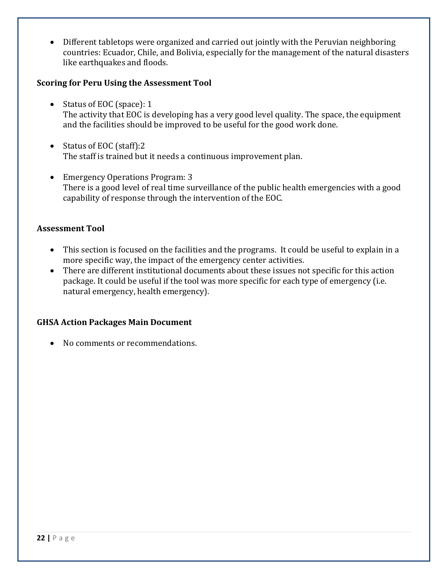Different tabletops were organized and carried out jointly with the Peruvian neighboring countries: Ecuador, Chile, and Bolivia, especially for the management of the natural disasters like earthquakes and floods.

#### **Scoring for Peru Using the Assessment Tool**

- Status of EOC (space): 1 The activity that EOC is developing has a very good level quality. The space, the equipment and the facilities should be improved to be useful for the good work done.
- Status of EOC (staff):2 The staff is trained but it needs a continuous improvement plan.
- Emergency Operations Program: 3 There is a good level of real time surveillance of the public health emergencies with a good capability of response through the intervention of the EOC.

#### **Assessment Tool**

- This section is focused on the facilities and the programs. It could be useful to explain in a more specific way, the impact of the emergency center activities.
- There are different institutional documents about these issues not specific for this action package. It could be useful if the tool was more specific for each type of emergency (i.e. natural emergency, health emergency).

#### **GHSA Action Packages Main Document**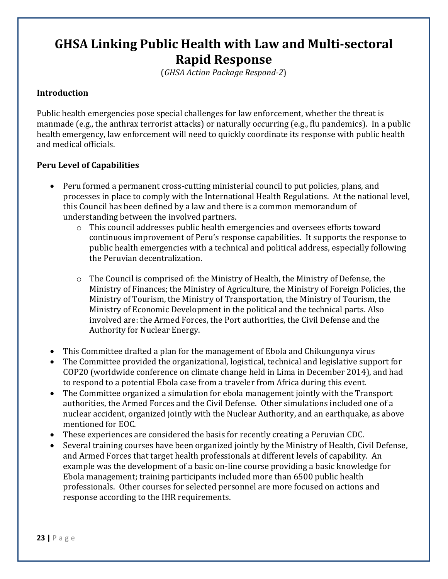### **GHSA Linking Public Health with Law and Multi-sectoral Rapid Response**

(*GHSA Action Package Respond-2*)

#### **Introduction**

Public health emergencies pose special challenges for law enforcement, whether the threat is manmade (e.g., the anthrax terrorist attacks) or naturally occurring (e.g., flu pandemics). In a public health emergency, law enforcement will need to quickly coordinate its response with public health and medical officials.

- Peru formed a permanent cross-cutting ministerial council to put policies, plans, and processes in place to comply with the International Health Regulations. At the national level, this Council has been defined by a law and there is a common memorandum of understanding between the involved partners.
	- $\circ$  This council addresses public health emergencies and oversees efforts toward continuous improvement of Peru's response capabilities. It supports the response to public health emergencies with a technical and political address, especially following the Peruvian decentralization.
	- o The Council is comprised of: the Ministry of Health, the Ministry of Defense, the Ministry of Finances; the Ministry of Agriculture, the Ministry of Foreign Policies, the Ministry of Tourism, the Ministry of Transportation, the Ministry of Tourism, the Ministry of Economic Development in the political and the technical parts. Also involved are: the Armed Forces, the Port authorities, the Civil Defense and the Authority for Nuclear Energy.
- This Committee drafted a plan for the management of Ebola and Chikungunya virus
- The Committee provided the organizational, logistical, technical and legislative support for COP20 (worldwide conference on climate change held in Lima in December 2014), and had to respond to a potential Ebola case from a traveler from Africa during this event.
- The Committee organized a simulation for ebola management jointly with the Transport authorities, the Armed Forces and the Civil Defense. Other simulations included one of a nuclear accident, organized jointly with the Nuclear Authority, and an earthquake, as above mentioned for EOC.
- These experiences are considered the basis for recently creating a Peruvian CDC.
- Several training courses have been organized jointly by the Ministry of Health, Civil Defense, and Armed Forces that target health professionals at different levels of capability. An example was the development of a basic on-line course providing a basic knowledge for Ebola management; training participants included more than 6500 public health professionals. Other courses for selected personnel are more focused on actions and response according to the IHR requirements.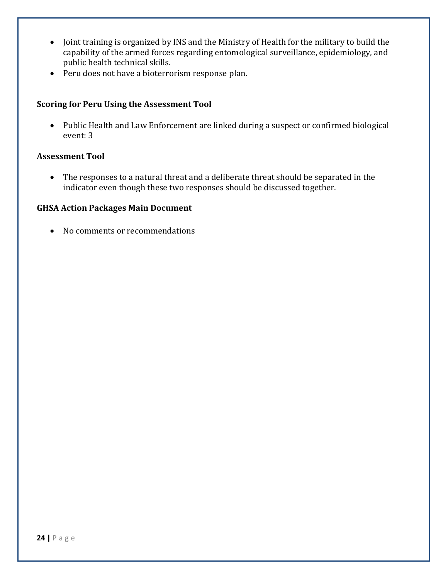- Joint training is organized by INS and the Ministry of Health for the military to build the capability of the armed forces regarding entomological surveillance, epidemiology, and public health technical skills.
- Peru does not have a bioterrorism response plan.

#### **Scoring for Peru Using the Assessment Tool**

 Public Health and Law Enforcement are linked during a suspect or confirmed biological event: 3

#### **Assessment Tool**

 The responses to a natural threat and a deliberate threat should be separated in the indicator even though these two responses should be discussed together.

#### **GHSA Action Packages Main Document**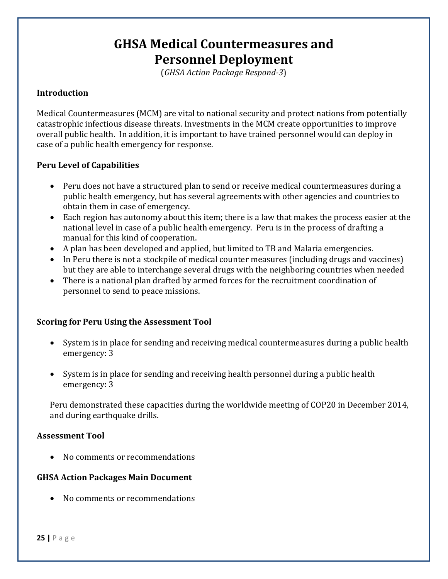### **GHSA Medical Countermeasures and Personnel Deployment**

(*GHSA Action Package Respond-3*)

#### **Introduction**

Medical Countermeasures (MCM) are vital to national security and protect nations from potentially catastrophic infectious disease threats. Investments in the MCM create opportunities to improve overall public health. In addition, it is important to have trained personnel would can deploy in case of a public health emergency for response.

#### **Peru Level of Capabilities**

- Peru does not have a structured plan to send or receive medical countermeasures during a public health emergency, but has several agreements with other agencies and countries to obtain them in case of emergency.
- Each region has autonomy about this item; there is a law that makes the process easier at the national level in case of a public health emergency. Peru is in the process of drafting a manual for this kind of cooperation.
- A plan has been developed and applied, but limited to TB and Malaria emergencies.
- In Peru there is not a stockpile of medical counter measures (including drugs and vaccines) but they are able to interchange several drugs with the neighboring countries when needed
- There is a national plan drafted by armed forces for the recruitment coordination of personnel to send to peace missions.

#### **Scoring for Peru Using the Assessment Tool**

- System is in place for sending and receiving medical countermeasures during a public health emergency: 3
- System is in place for sending and receiving health personnel during a public health emergency: 3

Peru demonstrated these capacities during the worldwide meeting of COP20 in December 2014, and during earthquake drills.

#### **Assessment Tool**

• No comments or recommendations

#### **GHSA Action Packages Main Document**